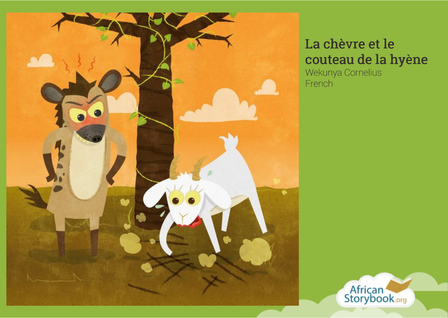

## La chèvre et le couteau de la hyène

Wekunya Cornelius French

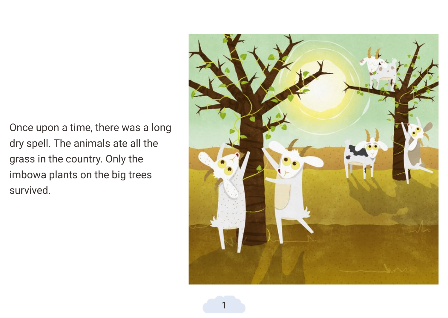Once upon a time, there was a long dry spell. The animals ate all the grass in the countr y. Only the imbowa plants on the big trees survived.

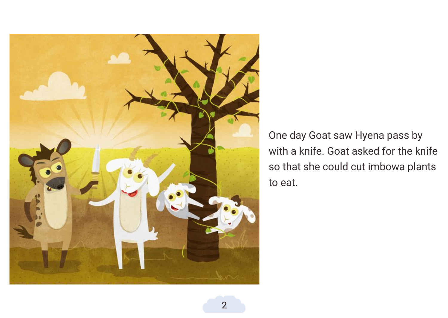

One day Goat saw Hyena pass by with a knife. Goat asked for the knife so that she could cut imbowa plants to eat.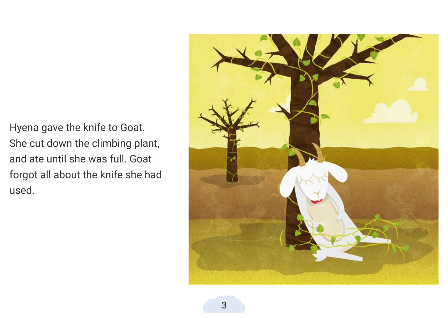Hyena gave the knife to Goat. She cut down the climbing plant, and ate until she was full. Goat forgot all about the knife she had used.

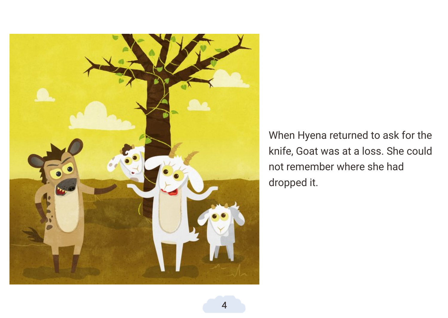

When Hyena returned to ask for the knife, Goat was at a loss. She could not remember where she had dropped it.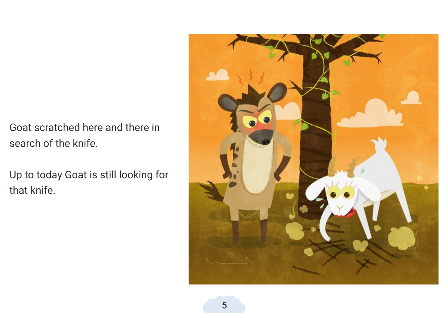Goat scratched here and there in search of the knife.

Up to today Goat is still looking for that knife.

![](_page_5_Picture_2.jpeg)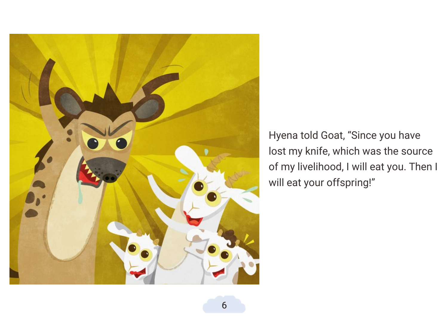![](_page_6_Picture_0.jpeg)

Hyena told Goat, "Since you have lost my knife, which was the source of my livelihood, I will eat you. Then I will eat your offspring!"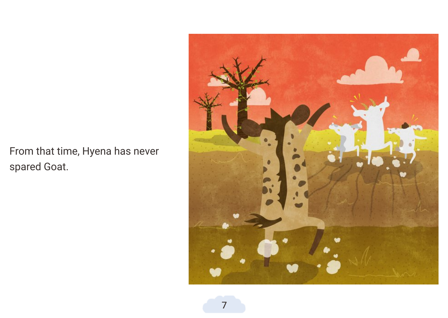From that time, Hyena has ne ver spared Goat.

![](_page_7_Picture_1.jpeg)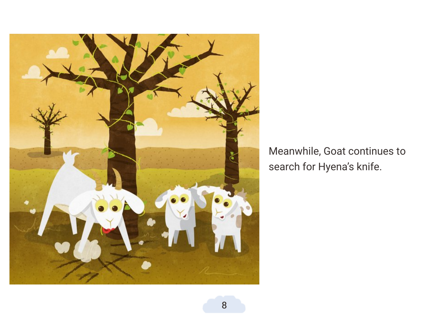![](_page_8_Picture_0.jpeg)

## Meanwhile, Goat continues t o search for Hyena's knife.